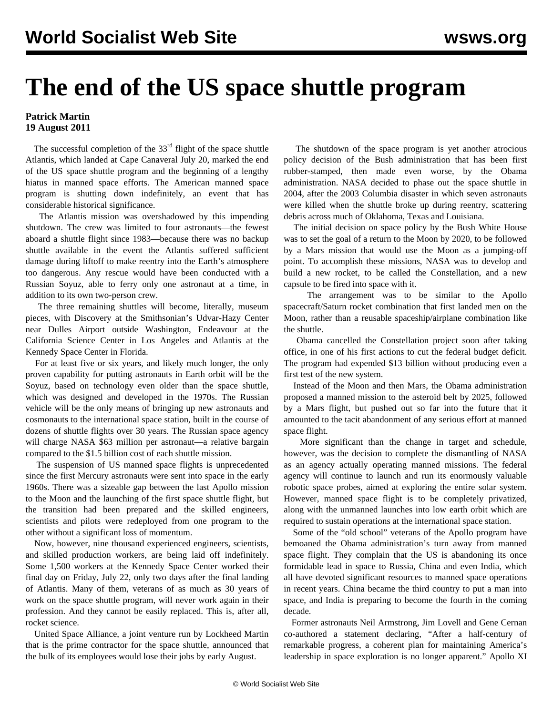## **The end of the US space shuttle program**

## **Patrick Martin 19 August 2011**

The successful completion of the  $33<sup>rd</sup>$  flight of the space shuttle Atlantis, which landed at Cape Canaveral July 20, marked the end of the US space shuttle program and the beginning of a lengthy hiatus in manned space efforts. The American manned space program is shutting down indefinitely, an event that has considerable historical significance.

 The Atlantis mission was overshadowed by this impending shutdown. The crew was limited to four astronauts—the fewest aboard a shuttle flight since 1983—because there was no backup shuttle available in the event the Atlantis suffered sufficient damage during liftoff to make reentry into the Earth's atmosphere too dangerous. Any rescue would have been conducted with a Russian Soyuz, able to ferry only one astronaut at a time, in addition to its own two-person crew.

 The three remaining shuttles will become, literally, museum pieces, with Discovery at the Smithsonian's Udvar-Hazy Center near Dulles Airport outside Washington, Endeavour at the California Science Center in Los Angeles and Atlantis at the Kennedy Space Center in Florida.

 For at least five or six years, and likely much longer, the only proven capability for putting astronauts in Earth orbit will be the Soyuz, based on technology even older than the space shuttle, which was designed and developed in the 1970s. The Russian vehicle will be the only means of bringing up new astronauts and cosmonauts to the international space station, built in the course of dozens of shuttle flights over 30 years. The Russian space agency will charge NASA \$63 million per astronaut—a relative bargain compared to the \$1.5 billion cost of each shuttle mission.

 The suspension of US manned space flights is unprecedented since the first Mercury astronauts were sent into space in the early 1960s. There was a sizeable gap between the last Apollo mission to the Moon and the launching of the first space shuttle flight, but the transition had been prepared and the skilled engineers, scientists and pilots were redeployed from one program to the other without a significant loss of momentum.

 Now, however, nine thousand experienced engineers, scientists, and skilled production workers, are being laid off indefinitely. Some 1,500 workers at the Kennedy Space Center worked their final day on Friday, July 22, only two days after the final landing of Atlantis. Many of them, veterans of as much as 30 years of work on the space shuttle program, will never work again in their profession. And they cannot be easily replaced. This is, after all, rocket science.

 United Space Alliance, a joint venture run by Lockheed Martin that is the prime contractor for the space shuttle, announced that the bulk of its employees would lose their jobs by early August.

 The shutdown of the space program is yet another atrocious policy decision of the Bush administration that has been first rubber-stamped, then made even worse, by the Obama administration. NASA decided to phase out the space shuttle in 2004, after the 2003 Columbia disaster in which seven astronauts were killed when the shuttle broke up during reentry, scattering debris across much of Oklahoma, Texas and Louisiana.

 The initial decision on space policy by the Bush White House was to set the goal of a return to the Moon by 2020, to be followed by a Mars mission that would use the Moon as a jumping-off point. To accomplish these missions, NASA was to develop and build a new rocket, to be called the Constellation, and a new capsule to be fired into space with it.

 The arrangement was to be similar to the Apollo spacecraft/Saturn rocket combination that first landed men on the Moon, rather than a reusable spaceship/airplane combination like the shuttle.

 Obama cancelled the Constellation project soon after taking office, in one of his first actions to cut the federal budget deficit. The program had expended \$13 billion without producing even a first test of the new system.

 Instead of the Moon and then Mars, the Obama administration proposed a manned mission to the asteroid belt by 2025, followed by a Mars flight, but pushed out so far into the future that it amounted to the tacit abandonment of any serious effort at manned space flight.

 More significant than the change in target and schedule, however, was the decision to complete the dismantling of NASA as an agency actually operating manned missions. The federal agency will continue to launch and run its enormously valuable robotic space probes, aimed at exploring the entire solar system. However, manned space flight is to be completely privatized, along with the unmanned launches into low earth orbit which are required to sustain operations at the international space station.

 Some of the "old school" veterans of the Apollo program have bemoaned the Obama administration's turn away from manned space flight. They complain that the US is abandoning its once formidable lead in space to Russia, China and even India, which all have devoted significant resources to manned space operations in recent years. China became the third country to put a man into space, and India is preparing to become the fourth in the coming decade.

 Former astronauts Neil Armstrong, Jim Lovell and Gene Cernan co-authored a statement declaring, "After a half-century of remarkable progress, a coherent plan for maintaining America's leadership in space exploration is no longer apparent." Apollo XI